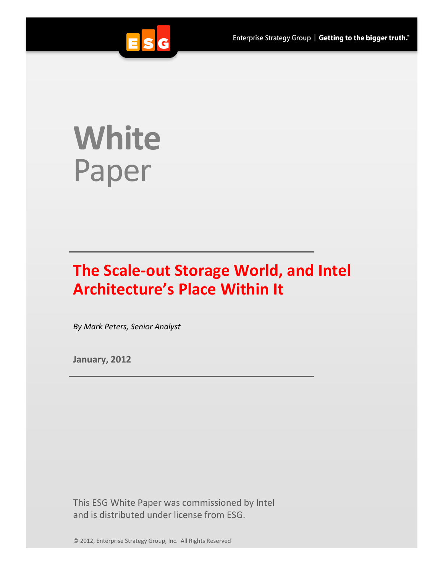

# **White**  Paper

## **The Scale-out Storage World, and Intel Architecture's Place Within It**

*By Mark Peters, Senior Analyst*

**January, 2012**

This ESG White Paper was commissioned by Intel and is distributed under license from ESG.

© 2012, Enterprise Strategy Group, Inc. All Rights Reserved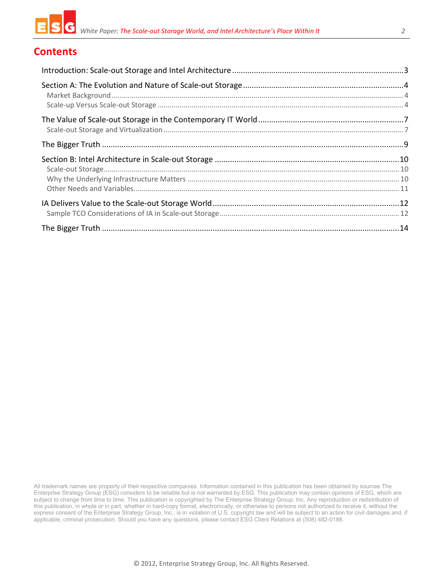

### **Contents**

All trademark names are property of their respective companies. Information contained in this publication has been obtained by sources The Enterprise Strategy Group (ESG) considers to be reliable but is not warranted by ESG. This publication may contain opinions of ESG, which are subject to change from time to time. This publication is copyrighted by The Enterprise Strategy Group, Inc. Any reproduction or redistribution of this publication, in whole or in part, whether in hard-copy format, electronically, or otherwise to persons not authorized to receive it, without the express consent of the Enterprise Strategy Group, Inc., is in violation of U.S. copyright law and will be subject to an action for civil damages and, if applicable, criminal prosecution. Should you have any questions, please contact ESG Client Relations at (508) 482-0188.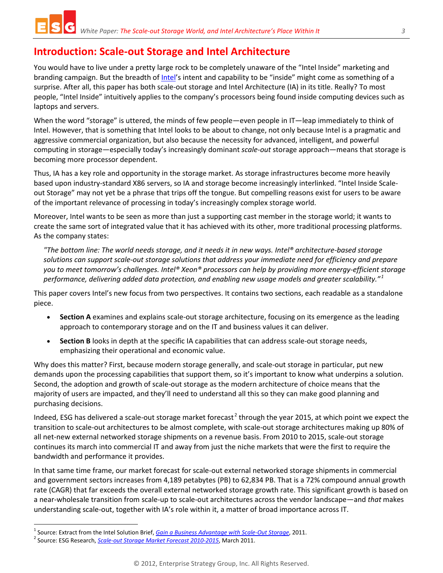## <span id="page-2-0"></span>**Introduction: Scale-out Storage and Intel Architecture**

You would have to live under a pretty large rock to be completely unaware of the "Intel Inside" marketing and branding campaign. But the breadth of [Intel'](http://intel.com/)s intent and capability to be "inside" might come as something of a surprise. After all, this paper has both scale-out storage and Intel Architecture (IA) in its title. Really? To most people, "Intel Inside" intuitively applies to the company's processors being found inside computing devices such as laptops and servers.

When the word "storage" is uttered, the minds of few people—even people in IT—leap immediately to think of Intel. However, that is something that Intel looks to be about to change, not only because Intel is a pragmatic and aggressive commercial organization, but also because the necessity for advanced, intelligent, and powerful computing in storage—especially today's increasingly dominant *scale-out* storage approach—means that storage is becoming more processor dependent.

Thus, IA has a key role and opportunity in the storage market. As storage infrastructures become more heavily based upon industry-standard X86 servers, so IA and storage become increasingly interlinked. "Intel Inside Scaleout Storage" may not yet be a phrase that trips off the tongue. But compelling reasons exist for users to be aware of the important relevance of processing in today's increasingly complex storage world.

Moreover, Intel wants to be seen as more than just a supporting cast member in the storage world; it wants to create the same sort of integrated value that it has achieved with its other, more traditional processing platforms. As the company states:

*"The bottom line: The world needs storage, and it needs it in new ways. Intel® architecture-based storage solutions can support scale-out storage solutions that address your immediate need for efficiency and prepare you to meet tomorrow's challenges. Intel® Xeon® processors can help by providing more energy-efficient storage performance, delivering added data protection, and enabling new usage models and greater scalability." [1](#page-2-1)*

This paper covers Intel's new focus from two perspectives. It contains two sections, each readable as a standalone piece.

- **Section A** examines and explains scale-out storage architecture, focusing on its emergence as the leading approach to contemporary storage and on the IT and business values it can deliver.
- **Section B** looks in depth at the specific IA capabilities that can address scale-out storage needs, emphasizing their operational and economic value.

Why does this matter? First, because modern storage generally, and scale-out storage in particular, put new demands upon the processing capabilities that support them, so it's important to know what underpins a solution. Second, the adoption and growth of scale-out storage as the modern architecture of choice means that the majority of users are impacted, and they'll need to understand all this so they can make good planning and purchasing decisions.

Indeed, ESG has delivered a scale-out storage market forecast<sup>[2](#page-2-2)</sup> through the year 2015, at which point we expect the transition to scale-out architectures to be almost complete, with scale-out storage architectures making up 80% of all net-new external networked storage shipments on a revenue basis. From 2010 to 2015, scale-out storage continues its march into commercial IT and away from just the niche markets that were the first to require the bandwidth and performance it provides.

In that same time frame, our market forecast for scale-out external networked storage shipments in commercial and government sectors increases from 4,189 petabytes (PB) to 62,834 PB. That is a 72% compound annual growth rate (CAGR) that far exceeds the overall external networked storage growth rate. This significant growth is based on a near-wholesale transition from scale-up to scale-out architectures across the vendor landscape—and *that* makes understanding scale-out, together with IA's role within it, a matter of broad importance across IT.

<span id="page-2-2"></span><span id="page-2-1"></span><sup>&</sup>lt;sup>1</sup> Source: Extract from the Intel Solution Brief, *[Gain a Business Advantage with Scale-Out Storage](http://www.intel.com/content/dam/doc/solution-brief/xeon-scale-out-storage-brief.pdf)*, 2011.<br><sup>2</sup> Source: ESG Research, *[Scale-out Storage Market Forecast 2010-2015](http://www.enterprisestrategygroup.com/2011/03/scale-out-storage-market-forecast-2010-2015/)*, March 2011.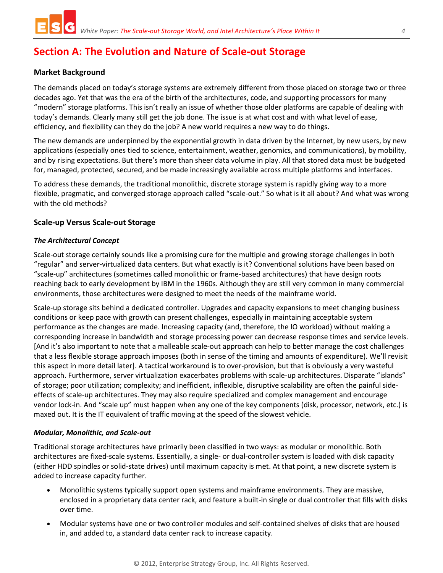## <span id="page-3-0"></span>**Section A: The Evolution and Nature of Scale-out Storage**

#### <span id="page-3-1"></span>**Market Background**

The demands placed on today's storage systems are extremely different from those placed on storage two or three decades ago. Yet that was the era of the birth of the architectures, code, and supporting processors for many "modern" storage platforms. This isn't really an issue of whether those older platforms are capable of dealing with today's demands. Clearly many still get the job done. The issue is at what cost and with what level of ease, efficiency, and flexibility can they do the job? A new world requires a new way to do things.

The new demands are underpinned by the exponential growth in data driven by the Internet, by new users, by new applications (especially ones tied to science, entertainment, weather, genomics, and communications), by mobility, and by rising expectations. But there's more than sheer data volume in play. All that stored data must be budgeted for, managed, protected, secured, and be made increasingly available across multiple platforms and interfaces.

To address these demands, the traditional monolithic, discrete storage system is rapidly giving way to a more flexible, pragmatic, and converged storage approach called "scale-out." So what is it all about? And what was wrong with the old methods?

#### <span id="page-3-2"></span>**Scale-up Versus Scale-out Storage**

#### *The Architectural Concept*

Scale-out storage certainly sounds like a promising cure for the multiple and growing storage challenges in both "regular" and server-virtualized data centers. But what exactly is it? Conventional solutions have been based on "scale-up" architectures (sometimes called monolithic or frame-based architectures) that have design roots reaching back to early development by IBM in the 1960s. Although they are still very common in many commercial environments, those architectures were designed to meet the needs of the mainframe world.

Scale-up storage sits behind a dedicated controller. Upgrades and capacity expansions to meet changing business conditions or keep pace with growth can present challenges, especially in maintaining acceptable system performance as the changes are made. Increasing capacity (and, therefore, the IO workload) without making a corresponding increase in bandwidth and storage processing power can decrease response times and service levels. [And it's also important to note that a malleable scale-out approach can help to better manage the cost challenges that a less flexible storage approach imposes (both in sense of the timing and amounts of expenditure). We'll revisit this aspect in more detail later]. A tactical workaround is to over-provision, but that is obviously a very wasteful approach. Furthermore, server virtualization exacerbates problems with scale-up architectures. Disparate "islands" of storage; poor utilization; complexity; and inefficient, inflexible, disruptive scalability are often the painful sideeffects of scale-up architectures. They may also require specialized and complex management and encourage vendor lock-in. And "scale up" must happen when any one of the key components (disk, processor, network, etc.) is maxed out. It is the IT equivalent of traffic moving at the speed of the slowest vehicle.

#### *Modular, Monolithic, and Scale-out*

Traditional storage architectures have primarily been classified in two ways: as modular or monolithic. Both architectures are fixed-scale systems. Essentially, a single- or dual-controller system is loaded with disk capacity (either HDD spindles or solid-state drives) until maximum capacity is met. At that point, a new discrete system is added to increase capacity further.

- x Monolithic systems typically support open systems and mainframe environments. They are massive, enclosed in a proprietary data center rack, and feature a built-in single or dual controller that fills with disks over time.
- x Modular systems have one or two controller modules and self-contained shelves of disks that are housed in, and added to, a standard data center rack to increase capacity.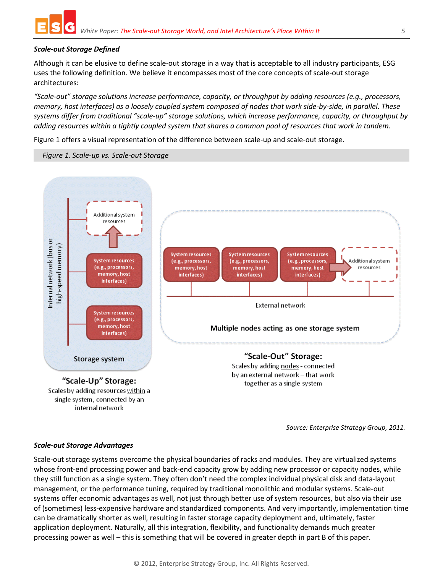

#### *Scale-out Storage Defined*

Although it can be elusive to define scale-out storage in a way that is acceptable to all industry participants, ESG uses the following definition. We believe it encompasses most of the core concepts of scale-out storage architectures:

*"Scale-out" storage solutions increase performance, capacity, or throughput by adding resources (e.g., processors, memory, host interfaces) as a loosely coupled system composed of nodes that work side-by-side, in parallel. These systems differ from traditional "scale-up" storage solutions, which increase performance, capacity, or throughput by adding resources within a tightly coupled system that shares a common pool of resources that work in tandem.*

[Figure 1](#page-4-0) offers a visual representation of the difference between scale-up and scale-out storage.

<span id="page-4-0"></span>*Figure 1. Scale-up vs. Scale-out Storage*



*Source: Enterprise Strategy Group, 2011.*

#### *Scale-out Storage Advantages*

Scale-out storage systems overcome the physical boundaries of racks and modules. They are virtualized systems whose front-end processing power and back-end capacity grow by adding new processor or capacity nodes, while they still function as a single system. They often don't need the complex individual physical disk and data-layout management, or the performance tuning, required by traditional monolithic and modular systems. Scale-out systems offer economic advantages as well, not just through better use of system resources, but also via their use of (sometimes) less-expensive hardware and standardized components. And very importantly, implementation time can be dramatically shorter as well, resulting in faster storage capacity deployment and, ultimately, faster application deployment. Naturally, all this integration, flexibility, and functionality demands much greater processing power as well – this is something that will be covered in greater depth in part B of this paper.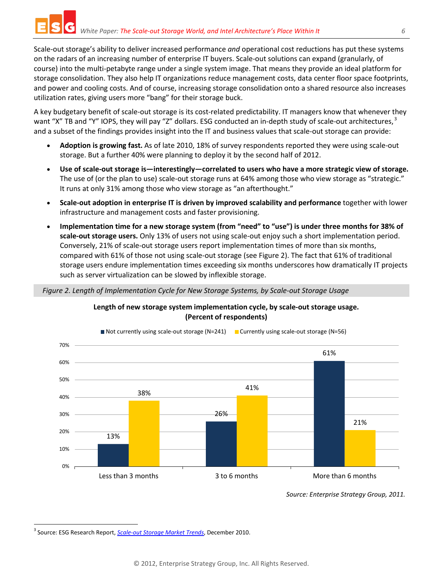Scale-out storage's ability to deliver increased performance *and* operational cost reductions has put these systems on the radars of an increasing number of enterprise IT buyers. Scale-out solutions can expand (granularly, of course) into the multi-petabyte range under a single system image. That means they provide an ideal platform for storage consolidation. They also help IT organizations reduce management costs, data center floor space footprints, and power and cooling costs. And of course, increasing storage consolidation onto a shared resource also increases utilization rates, giving users more "bang" for their storage buck.

A key budgetary benefit of scale-out storage is its cost-related predictability. IT managers know that whenever they want "X" TB and "Y" IOPS, they will pay "Z" dollars. ESG conducted an in-depth study of scale-out architectures,<sup>[3](#page-5-1)</sup> and a subset of the findings provides insight into the IT and business values that scale-out storage can provide:

- x **Adoption is growing fast.** As of late 2010, 18% of survey respondents reported they were using scale-out storage. But a further 40% were planning to deploy it by the second half of 2012.
- x **Use of scale-out storage is—interestingly—correlated to users who have a more strategic view of storage.** The use of (or the plan to use) scale-out storage runs at 64% among those who view storage as "strategic." It runs at only 31% among those who view storage as "an afterthought."
- x **Scale-out adoption in enterprise IT is driven by improved scalability and performance** together with lower infrastructure and management costs and faster provisioning.
- x **Implementation time for a new storage system (from "need" to "use") is under three months for 38% of scale-out storage users.** Only 13% of users not using scale-out enjoy such a short implementation period. Conversely, 21% of scale-out storage users report implementation times of more than six months, compared with 61% of those not using scale-out storage (see [Figure 2\)](#page-5-0). The fact that 61% of traditional storage users endure implementation times exceeding six months underscores how dramatically IT projects such as server virtualization can be slowed by inflexible storage.

#### <span id="page-5-0"></span>*Figure 2. Length of Implementation Cycle for New Storage Systems, by Scale-out Storage Usage*



**Length of new storage system implementation cycle, by scale-out storage usage. (Percent of respondents)**

*Source: Enterprise Strategy Group, 2011.*

<span id="page-5-1"></span> <sup>3</sup> Source: ESG Research Report, *[Scale-out Storage Market Trends](http://www.enterprisestrategygroup.com/2010/12/scale-out-storage-market-trends/)*, December 2010.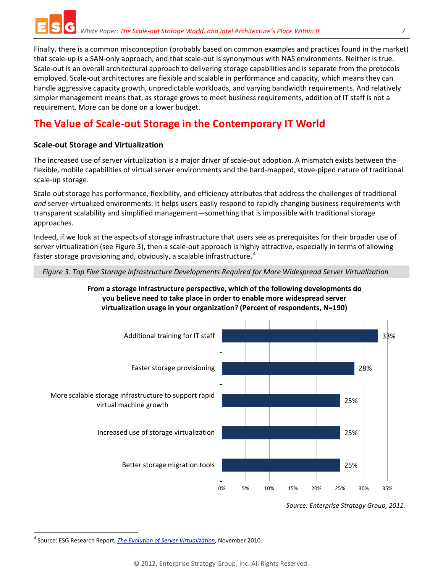Finally, there is a common misconception (probably based on common examples and practices found in the market) that scale-up is a SAN-only approach, and that scale-out is synonymous with NAS environments. Neither is true. Scale-out is an overall architectural approach to delivering storage capabilities and is separate from the protocols employed. Scale-out architectures are flexible and scalable in performance and capacity, which means they can handle aggressive capacity growth, unpredictable workloads, and varying bandwidth requirements. And relatively simpler management means that, as storage grows to meet business requirements, addition of IT staff is not a requirement. More can be done on a lower budget.

## <span id="page-6-0"></span>**The Value of Scale-out Storage in the Contemporary IT World**

#### <span id="page-6-1"></span>**Scale-out Storage and Virtualization**

The increased use of server virtualization is a major driver of scale-out adoption. A mismatch exists between the flexible, mobile capabilities of virtual server environments and the hard-mapped, stove-piped nature of traditional scale-up storage.

Scale-out storage has performance, flexibility, and efficiency attributes that address the challenges of traditional *and* server-virtualized environments. It helps users easily respond to rapidly changing business requirements with transparent scalability and simplified management—something that is impossible with traditional storage approaches.

Indeed, if we look at the aspects of storage infrastructure that users see as prerequisites for their broader use of server virtualization (see Figure 3), then a scale-out approach is highly attractive, especially in terms of allowing faster storage provisioning and, obviously, a scalable infrastructure. [4](#page-6-2)

*Figure 3. Top Five Storage Infrastructure Developments Required for More Widespread Server Virtualization*

#### **From a storage infrastructure perspective, which of the following developments do you believe need to take place in order to enable more widespread server virtualization usage in your organization? (Percent of respondents, N=190)**



*Source: Enterprise Strategy Group, 2011.*

<span id="page-6-2"></span> <sup>4</sup> Source: ESG Research Report, *[The Evolution of Server Virtualization](http://www.enterprisestrategygroup.com/2010/11/the-evolution-of-server-virtualization/)*, November 2010.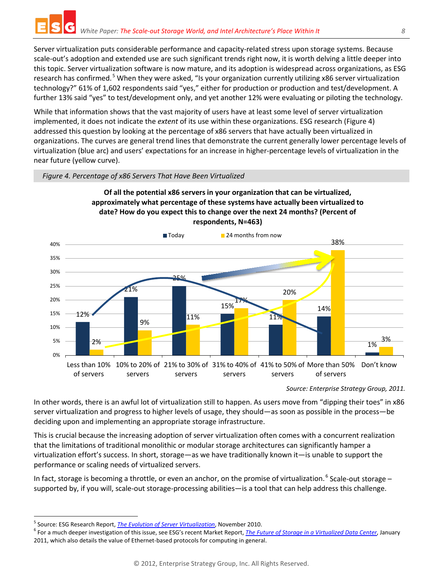Server virtualization puts considerable performance and capacity-related stress upon storage systems. Because scale-out's adoption and extended use are such significant trends right now, it is worth delving a little deeper into this topic. Server virtualization software is now mature, and its adoption is widespread across organizations, as ESG research has confirmed.<sup>[5](#page-7-0)</sup> When they were asked, "Is your organization currently utilizing x86 server virtualization technology?" 61% of 1,602 respondents said "yes," either for production or production and test/development. A further 13% said "yes" to test/development only, and yet another 12% were evaluating or piloting the technology.

While that information shows that the vast majority of users have at least some level of server virtualization implemented, it does not indicate the *extent* of its use within these organizations. ESG research (Figure 4) addressed this question by looking at the percentage of x86 servers that have actually been virtualized in organizations. The curves are general trend lines that demonstrate the current generally lower percentage levels of virtualization (blue arc) and users' expectations for an increase in higher-percentage levels of virtualization in the near future (yellow curve).



*Figure 4. Percentage of x86 Servers That Have Been Virtualized*





*Source: Enterprise Strategy Group, 2011.*

In other words, there is an awful lot of virtualization still to happen. As users move from "dipping their toes" in x86 server virtualization and progress to higher levels of usage, they should—as soon as possible in the process—be deciding upon and implementing an appropriate storage infrastructure.

This is crucial because the increasing adoption of server virtualization often comes with a concurrent realization that the limitations of traditional monolithic or modular storage architectures can significantly hamper a virtualization effort's success. In short, storage—as we have traditionally known it—is unable to support the performance or scaling needs of virtualized servers.

In fact, storage is becoming a throttle, or even an anchor, on the promise of virtualization. <sup>[6](#page-7-1)</sup> Scale-out storage – supported by, if you will, scale-out storage-processing abilities—is a tool that can help address this challenge.

<span id="page-7-1"></span>

<span id="page-7-0"></span><sup>&</sup>lt;sup>5</sup> Source: ESG Research Report, <u>[The Evolution of Server Virtualization](http://www.enterprisestrategygroup.com/2010/11/the-evolution-of-server-virtualization/)</u>, November 2010.<br><sup>6</sup> For a much deeper investigation of this issue, see ESG's recent Market Report, <u>The Future of Storage in a Virtualized Data Cent</u> 2011, which also details the value of Ethernet-based protocols for computing in general.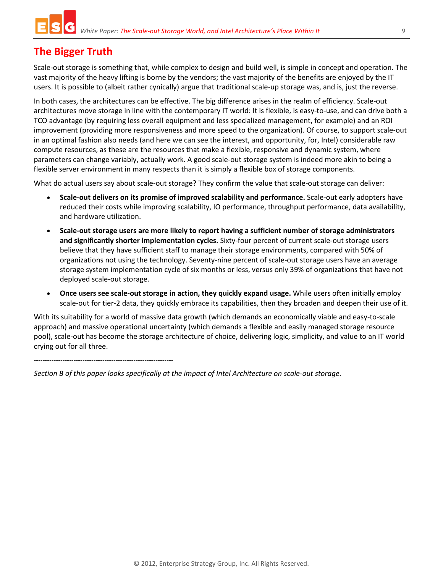## <span id="page-8-0"></span>**The Bigger Truth**

Scale-out storage is something that, while complex to design and build well, is simple in concept and operation. The vast majority of the heavy lifting is borne by the vendors; the vast majority of the benefits are enjoyed by the IT users. It is possible to (albeit rather cynically) argue that traditional scale-up storage was, and is, just the reverse.

In both cases, the architectures can be effective. The big difference arises in the realm of efficiency. Scale-out architectures move storage in line with the contemporary IT world: It is flexible, is easy-to-use, and can drive both a TCO advantage (by requiring less overall equipment and less specialized management, for example) and an ROI improvement (providing more responsiveness and more speed to the organization). Of course, to support scale-out in an optimal fashion also needs (and here we can see the interest, and opportunity, for, Intel) considerable raw compute resources, as these are the resources that make a flexible, responsive and dynamic system, where parameters can change variably, actually work. A good scale-out storage system is indeed more akin to being a flexible server environment in many respects than it is simply a flexible box of storage components.

What do actual users say about scale-out storage? They confirm the value that scale-out storage can deliver:

- **Scale-out delivers on its promise of improved scalability and performance.** Scale-out early adopters have reduced their costs while improving scalability, IO performance, throughput performance, data availability, and hardware utilization.
- x **Scale-out storage users are more likely to report having a sufficient number of storage administrators and significantly shorter implementation cycles.** Sixty-four percent of current scale-out storage users believe that they have sufficient staff to manage their storage environments, compared with 50% of organizations not using the technology. Seventy-nine percent of scale-out storage users have an average storage system implementation cycle of six months or less, versus only 39% of organizations that have not deployed scale-out storage.
- x **Once users see scale-out storage in action, they quickly expand usage.** While users often initially employ scale-out for tier-2 data, they quickly embrace its capabilities, then they broaden and deepen their use of it.

With its suitability for a world of massive data growth (which demands an economically viable and easy-to-scale approach) and massive operational uncertainty (which demands a flexible and easily managed storage resource pool), scale-out has become the storage architecture of choice, delivering logic, simplicity, and value to an IT world crying out for all three.

---------------------------------------------------------------

*Section B of this paper looks specifically at the impact of Intel Architecture on scale-out storage.*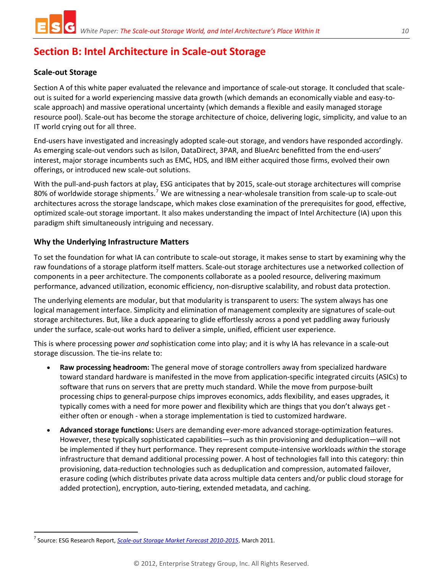## <span id="page-9-0"></span>**Section B: Intel Architecture in Scale-out Storage**

#### <span id="page-9-1"></span>**Scale-out Storage**

Section A of this white paper evaluated the relevance and importance of scale-out storage. It concluded that scaleout is suited for a world experiencing massive data growth (which demands an economically viable and easy-toscale approach) and massive operational uncertainty (which demands a flexible and easily managed storage resource pool). Scale-out has become the storage architecture of choice, delivering logic, simplicity, and value to an IT world crying out for all three.

End-users have investigated and increasingly adopted scale-out storage, and vendors have responded accordingly. As emerging scale-out vendors such as Isilon, DataDirect, 3PAR, and BlueArc benefitted from the end-users' interest, major storage incumbents such as EMC, HDS, and IBM either acquired those firms, evolved their own offerings, or introduced new scale-out solutions.

With the pull-and-push factors at play, ESG anticipates that by 2015, scale-out storage architectures will comprise 80% of worldwide storage shipments.<sup>[7](#page-9-3)</sup> We are witnessing a near-wholesale transition from scale-up to scale-out architectures across the storage landscape, which makes close examination of the prerequisites for good, effective, optimized scale-out storage important. It also makes understanding the impact of Intel Architecture (IA) upon this paradigm shift simultaneously intriguing and necessary.

#### <span id="page-9-2"></span>**Why the Underlying Infrastructure Matters**

To set the foundation for what IA can contribute to scale-out storage, it makes sense to start by examining why the raw foundations of a storage platform itself matters. Scale-out storage architectures use a networked collection of components in a peer architecture. The components collaborate as a pooled resource, delivering maximum performance, advanced utilization, economic efficiency, non-disruptive scalability, and robust data protection.

The underlying elements are modular, but that modularity is transparent to users: The system always has one logical management interface. Simplicity and elimination of management complexity are signatures of scale-out storage architectures. But, like a duck appearing to glide effortlessly across a pond yet paddling away furiously under the surface, scale-out works hard to deliver a simple, unified, efficient user experience.

This is where processing power *and* sophistication come into play; and it is why IA has relevance in a scale-out storage discussion. The tie-ins relate to:

- **Raw processing headroom:** The general move of storage controllers away from specialized hardware toward standard hardware is manifested in the move from application-specific integrated circuits (ASICs) to software that runs on servers that are pretty much standard. While the move from purpose-built processing chips to general-purpose chips improves economics, adds flexibility, and eases upgrades, it typically comes with a need for more power and flexibility which are things that you don't always get either often or enough - when a storage implementation is tied to customized hardware.
- x **Advanced storage functions:** Users are demanding ever-more advanced storage-optimization features. However, these typically sophisticated capabilities—such as thin provisioning and deduplication—will not be implemented if they hurt performance. They represent compute-intensive workloads *within* the storage infrastructure that demand additional processing power. A host of technologies fall into this category: thin provisioning, data-reduction technologies such as deduplication and compression, automated failover, erasure coding (which distributes private data across multiple data centers and/or public cloud storage for added protection), encryption, auto-tiering, extended metadata, and caching.

<span id="page-9-3"></span> <sup>7</sup> Source: ESG Research Report, *[Scale-out Storage Market Forecast 2010-2015](http://www.enterprisestrategygroup.com/2011/03/scale-out-storage-market-forecast-2010-2015/)*, March 2011.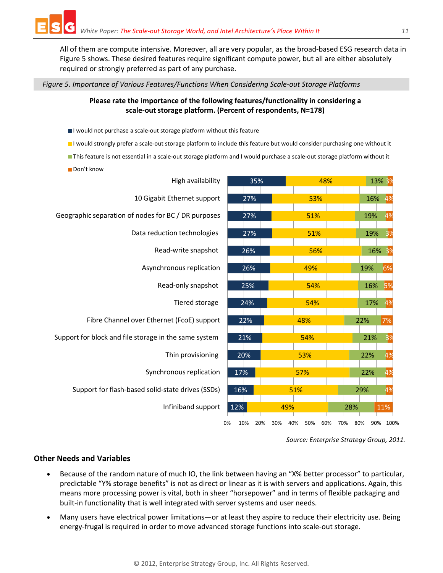All of them are compute intensive. Moreover, all are very popular, as the broad-based ESG research data in Figure 5 shows. These desired features require significant compute power, but all are either absolutely required or strongly preferred as part of any purchase.

#### *Figure 5. Importance of Various Features/Functions When Considering Scale-out Storage Platforms*

#### **Please rate the importance of the following features/functionality in considering a scale-out storage platform. (Percent of respondents, N=178)**

- I would not purchase a scale-out storage platform without this feature
- I would strongly prefer a scale-out storage platform to include this feature but would consider purchasing one without it
- This feature is not essential in a scale-out storage platform and I would purchase a scale-out storage platform without it
- Don't know

| High availability                                     | 35%              | 48%                      | 13% 3%                    |
|-------------------------------------------------------|------------------|--------------------------|---------------------------|
| 10 Gigabit Ethernet support                           | 27%              | 53%                      | 16%<br>4%                 |
| Geographic separation of nodes for BC / DR purposes   | 27%              | 51%                      | 19%<br>4%                 |
| Data reduction technologies                           | 27%              | 51%                      | 3 <sup>9</sup><br>19%     |
| Read-write snapshot                                   | 26%              | 56%                      | 16%<br>3 <sup>9</sup>     |
| Asynchronous replication                              | 26%              | 49%                      | 6%<br>19%                 |
| Read-only snapshot                                    | 25%              | 54%                      | 16%<br>5%                 |
| Tiered storage                                        | 24%              | 54%                      | 17%<br>4%                 |
| Fibre Channel over Ethernet (FcoE) support            | 22%              | 48%                      | 22%<br>7%                 |
| Support for block and file storage in the same system | 21%              | 54%                      | 3 <sup>9</sup><br>21%     |
| Thin provisioning                                     | 20%              | 53%                      | 22%<br>4%                 |
| Synchronous replication                               | 17%              | 57%                      | 4%<br>22%                 |
| Support for flash-based solid-state drives (SSDs)     | 16%              | 51%                      | 4%<br>29%                 |
| Infiniband support                                    | 12%              | 49%                      | 28%<br>11%                |
|                                                       | 0%<br>10%<br>20% | 40%<br>50%<br>30%<br>60% | 80%<br>100%<br>70%<br>90% |

*Source: Enterprise Strategy Group, 2011.*

#### <span id="page-10-0"></span>**Other Needs and Variables**

- **•** Because of the random nature of much IO, the link between having an "X% better processor" to particular, predictable "Y% storage benefits" is not as direct or linear as it is with servers and applications. Again, this means more processing power is vital, both in sheer "horsepower" and in terms of flexible packaging and built-in functionality that is well integrated with server systems and user needs.
- x Many users have electrical power limitations—or at least they aspire to reduce their electricity use. Being energy-frugal is required in order to move advanced storage functions into scale-out storage.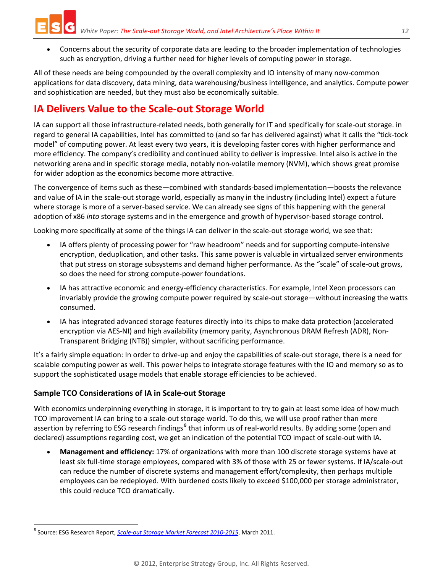- 
- x Concerns about the security of corporate data are leading to the broader implementation of technologies such as encryption, driving a further need for higher levels of computing power in storage.

All of these needs are being compounded by the overall complexity and IO intensity of many now-common applications for data discovery, data mining, data warehousing/business intelligence, and analytics. Compute power and sophistication are needed, but they must also be economically suitable.

## <span id="page-11-0"></span>**IA Delivers Value to the Scale-out Storage World**

IA can support all those infrastructure-related needs, both generally for IT and specifically for scale-out storage. in regard to general IA capabilities, Intel has committed to (and so far has delivered against) what it calls the "tick-tock model" of computing power. At least every two years, it is developing faster cores with higher performance and more efficiency. The company's credibility and continued ability to deliver is impressive. Intel also is active in the networking arena and in specific storage media, notably non-volatile memory (NVM), which shows great promise for wider adoption as the economics become more attractive.

The convergence of items such as these—combined with standards-based implementation—boosts the relevance and value of IA in the scale-out storage world, especially as many in the industry (including Intel) expect a future where storage is more of a server-based service. We can already see signs of this happening with the general adoption of x86 *into* storage systems and in the emergence and growth of hypervisor-based storage control.

Looking more specifically at some of the things IA can deliver in the scale-out storage world, we see that:

- IA offers plenty of processing power for "raw headroom" needs and for supporting compute-intensive encryption, deduplication, and other tasks. This same power is valuable in virtualized server environments that put stress on storage subsystems and demand higher performance. As the "scale" of scale-out grows, so does the need for strong compute-power foundations.
- IA has attractive economic and energy-efficiency characteristics. For example, Intel Xeon processors can invariably provide the growing compute power required by scale-out storage—without increasing the watts consumed.
- IA has integrated advanced storage features directly into its chips to make data protection (accelerated encryption via AES-NI) and high availability (memory parity, Asynchronous DRAM Refresh (ADR), Non-Transparent Bridging (NTB)) simpler, without sacrificing performance.

It's a fairly simple equation: In order to drive-up and enjoy the capabilities of scale-out storage, there is a need for scalable computing power as well. This power helps to integrate storage features with the IO and memory so as to support the sophisticated usage models that enable storage efficiencies to be achieved.

#### <span id="page-11-1"></span>**Sample TCO Considerations of IA in Scale-out Storage**

With economics underpinning everything in storage, it is important to try to gain at least some idea of how much TCO improvement IA can bring to a scale-out storage world. To do this, we will use proof rather than mere assertion by referring to ESG research findings<sup>[8](#page-11-2)</sup> that inform us of real-world results. By adding some (open and declared) assumptions regarding cost, we get an indication of the potential TCO impact of scale-out with IA.

x **Management and efficiency:** 17% of organizations with more than 100 discrete storage systems have at least six full-time storage employees, compared with 3% of those with 25 or fewer systems. If IA/scale-out can reduce the number of discrete systems and management effort/complexity, then perhaps multiple employees can be redeployed. With burdened costs likely to exceed \$100,000 per storage administrator, this could reduce TCO dramatically.

<span id="page-11-2"></span> <sup>8</sup> Source: ESG Research Report, *[Scale-out Storage Market Forecast 2010-2015](http://www.enterprisestrategygroup.com/2011/03/scale-out-storage-market-forecast-2010-2015/)*, March 2011.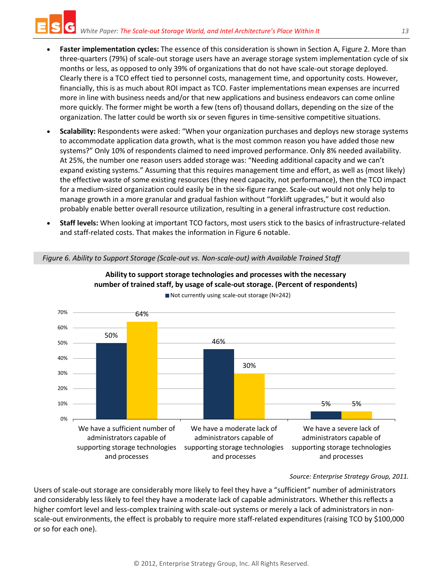- **Faster implementation cycles:** The essence of this consideration is shown in Section A, Figure 2. More than three-quarters (79%) of scale-out storage users have an average storage system implementation cycle of six months or less, as opposed to only 39% of organizations that do not have scale-out storage deployed. Clearly there is a TCO effect tied to personnel costs, management time, and opportunity costs. However, financially, this is as much about ROI impact as TCO. Faster implementations mean expenses are incurred more in line with business needs and/or that new applications and business endeavors can come online more quickly. The former might be worth a few (tens of) thousand dollars, depending on the size of the organization. The latter could be worth six or seven figures in time-sensitive competitive situations.
- x **Scalability:** Respondents were asked: "When your organization purchases and deploys new storage systems to accommodate application data growth, what is the most common reason you have added those new systems?" Only 10% of respondents claimed to need improved performance. Only 8% needed availability. At 25%, the number one reason users added storage was: "Needing additional capacity and we can't expand existing systems." Assuming that this requires management time and effort, as well as (most likely) the effective waste of some existing resources (they need capacity, not performance), then the TCO impact for a medium-sized organization could easily be in the six-figure range. Scale-out would not only help to manage growth in a more granular and gradual fashion without "forklift upgrades," but it would also probably enable better overall resource utilization, resulting in a general infrastructure cost reduction.
- x **Staff levels:** When looking at important TCO factors, most users stick to the basics of infrastructure-related and staff-related costs. That makes the information in Figure 6 notable.

*Figure 6. Ability to Support Storage (Scale-out vs. Non-scale-out) with Available Trained Staff*



#### **Ability to support storage technologies and processes with the necessary number of trained staff, by usage of scale-out storage. (Percent of respondents)**

■ Not currently using scale-out storage (N=242)

*Source: Enterprise Strategy Group, 2011.*

Users of scale-out storage are considerably more likely to feel they have a "sufficient" number of administrators and considerably less likely to feel they have a moderate lack of capable administrators. Whether this reflects a higher comfort level and less-complex training with scale-out systems or merely a lack of administrators in nonscale-out environments, the effect is probably to require more staff-related expenditures (raising TCO by \$100,000 or so for each one).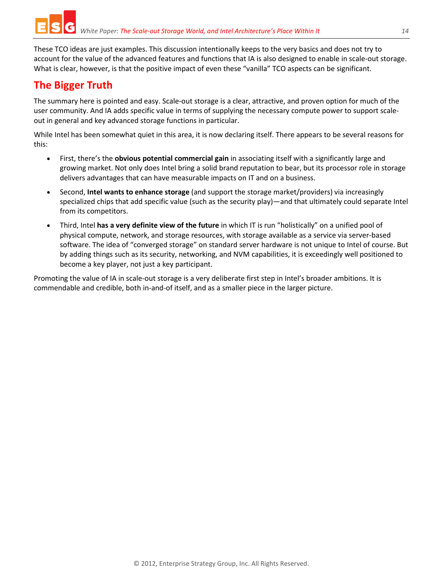These TCO ideas are just examples. This discussion intentionally keeps to the very basics and does not try to account for the value of the advanced features and functions that IA is also designed to enable in scale-out storage. What is clear, however, is that the positive impact of even these "vanilla" TCO aspects can be significant.

## <span id="page-13-0"></span>**The Bigger Truth**

The summary here is pointed and easy. Scale-out storage is a clear, attractive, and proven option for much of the user community. And IA adds specific value in terms of supplying the necessary compute power to support scaleout in general and key advanced storage functions in particular.

While Intel has been somewhat quiet in this area, it is now declaring itself. There appears to be several reasons for this:

- x First, there's the **obvious potential commercial gain** in associating itself with a significantly large and growing market. Not only does Intel bring a solid brand reputation to bear, but its processor role in storage delivers advantages that can have measurable impacts on IT and on a business.
- x Second, **Intel wants to enhance storage** (and support the storage market/providers) via increasingly specialized chips that add specific value (such as the security play)—and that ultimately could separate Intel from its competitors.
- x Third, Intel **has a very definite view of the future** in which IT is run "holistically" on a unified pool of physical compute, network, and storage resources, with storage available as a service via server-based software. The idea of "converged storage" on standard server hardware is not unique to Intel of course. But by adding things such as its security, networking, and NVM capabilities, it is exceedingly well positioned to become a key player, not just a key participant.

Promoting the value of IA in scale-out storage is a very deliberate first step in Intel's broader ambitions. It is commendable and credible, both in-and-of itself, and as a smaller piece in the larger picture.